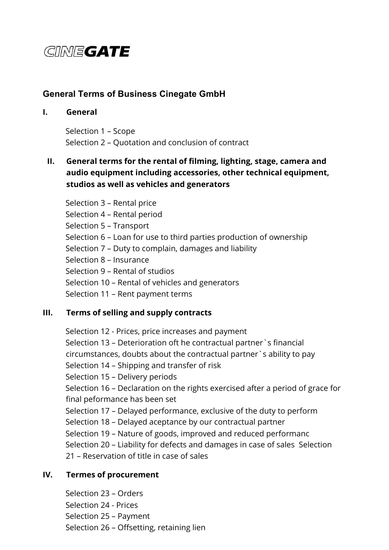# GINEGATE

# **General Terms of Business Cinegate GmbH**

# **I. General**

Selection 1 – Scope Selection 2 – Quotation and conclusion of contract

# **II. General terms for the rental of filming, lighting, stage, camera and audio equipment including accessories, other technical equipment, studios as well as vehicles and generators**

Selection 3 – Rental price Selection 4 – Rental period Selection 5 – Transport Selection 6 – Loan for use to third parties production of ownership Selection 7 – Duty to complain, damages and liability Selection 8 – Insurance Selection 9 – Rental of studios Selection 10 – Rental of vehicles and generators Selection 11 – Rent payment terms

# **III. Terms of selling and supply contracts**

Selection 12 - Prices, price increases and payment Selection 13 – Deterioration oft he contractual partner`s financial circumstances, doubts about the contractual partner`s ability to pay Selection 14 – Shipping and transfer of risk Selection 15 – Delivery periods Selection 16 – Declaration on the rights exercised after a period of grace for final peformance has been set Selection 17 – Delayed performance, exclusive of the duty to perform Selection 18 – Delayed aceptance by our contractual partner Selection 19 – Nature of goods, improved and reduced performanc Selection 20 – Liability for defects and damages in case of sales Selection 21 – Reservation of title in case of sales

## **IV. Termes of procurement**

Selection 23 – Orders Selection 24 - Prices Selection 25 – Payment Selection 26 – Offsetting, retaining lien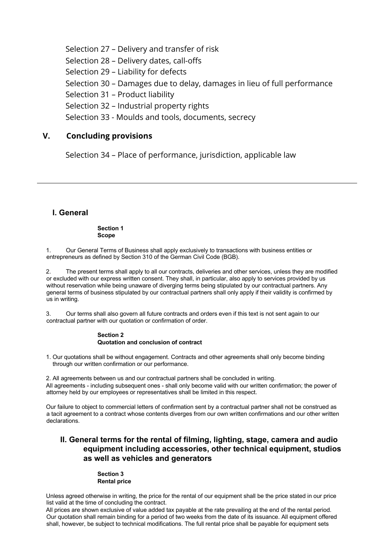Selection 27 – Delivery and transfer of risk Selection 28 – Delivery dates, call-offs Selection 29 – Liability for defects Selection 30 – Damages due to delay, damages in lieu of full performance Selection 31 – Product liability Selection 32 – Industrial property rights Selection 33 - Moulds and tools, documents, secrecy

## **V. Concluding provisions**

Selection 34 – Place of performance, jurisdiction, applicable law

### **I. General**

**Section 1 Scope** 

1. Our General Terms of Business shall apply exclusively to transactions with business entities or entrepreneurs as defined by Section 310 of the German Civil Code (BGB).

2. The present terms shall apply to all our contracts, deliveries and other services, unless they are modified or excluded with our express written consent. They shall, in particular, also apply to services provided by us without reservation while being unaware of diverging terms being stipulated by our contractual partners. Any general terms of business stipulated by our contractual partners shall only apply if their validity is confirmed by us in writing.

3. Our terms shall also govern all future contracts and orders even if this text is not sent again to our contractual partner with our quotation or confirmation of order.

#### **Section 2 Quotation and conclusion of contract**

1. Our quotations shall be without engagement. Contracts and other agreements shall only become binding through our written confirmation or our performance.

2. All agreements between us and our contractual partners shall be concluded in writing. All agreements - including subsequent ones - shall only become valid with our written confirmation; the power of attorney held by our employees or representatives shall be limited in this respect.

Our failure to object to commercial letters of confirmation sent by a contractual partner shall not be construed as a tacit agreement to a contract whose contents diverges from our own written confirmations and our other written declarations.

### **II. General terms for the rental of filming, lighting, stage, camera and audio equipment including accessories, other technical equipment, studios as well as vehicles and generators**

#### **Section 3 Rental price**

Unless agreed otherwise in writing, the price for the rental of our equipment shall be the price stated in our price list valid at the time of concluding the contract.

All prices are shown exclusive of value added tax payable at the rate prevailing at the end of the rental period. Our quotation shall remain binding for a period of two weeks from the date of its issuance. All equipment offered shall, however, be subject to technical modifications. The full rental price shall be payable for equipment sets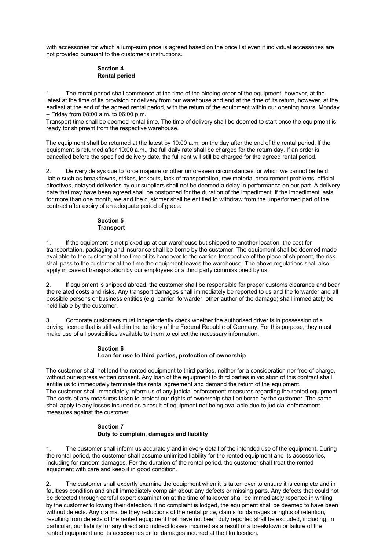with accessories for which a lump-sum price is agreed based on the price list even if individual accessories are not provided pursuant to the customer's instructions.

#### **Section 4 Rental period**

1. The rental period shall commence at the time of the binding order of the equipment, however, at the latest at the time of its provision or delivery from our warehouse and end at the time of its return, however, at the earliest at the end of the agreed rental period, with the return of the equipment within our opening hours, Monday – Friday from 08:00 a.m. to 06:00 p.m.

Transport time shall be deemed rental time. The time of delivery shall be deemed to start once the equipment is ready for shipment from the respective warehouse.

The equipment shall be returned at the latest by 10:00 a.m. on the day after the end of the rental period. lf the equipment is returned after 10:00 a.m., the full daily rate shall be charged for the return day. If an order is cancelled before the specified delivery date, the full rent will still be charged for the agreed rental period.

2. Delivery delays due to force majeure or other unforeseen circumstances for which we cannot be held liable such as breakdowns, strikes, lockouts, lack of transportation, raw material procurement problems, official directives, delayed deliveries by our suppliers shall not be deemed a delay in performance on our part. A delivery date that may have been agreed shall be postponed for the duration of the impediment. lf the impediment lasts for more than one month, we and the customer shall be entitled to withdraw from the unperformed part of the contract after expiry of an adequate period of grace.

#### **Section 5 Transport**

1. lf the equipment is not picked up at our warehouse but shipped to another location, the cost for transportation, packaging and insurance shall be borne by the customer. The equipment shall be deemed made available to the customer at the time of its handover to the carrier. lrrespective of the place of shipment, the risk shall pass to the customer at the time the equipment leaves the warehouse. The above regulations shall also apply in case of transportation by our employees or a third party commissioned by us.

2. lf equipment is shipped abroad, the customer shall be responsible for proper customs clearance and bear the related costs and risks. Any transport damages shall immediately be reported to us and the forwarder and all possible persons or business entities (e.g. carrier, forwarder, other author of the damage) shall immediately be held liable by the customer.

3. Corporate customers must independently check whether the authorised driver is in possession of a driving licence that is still valid in the territory of the Federal Republic of Germany. For this purpose, they must make use of all possibilities available to them to collect the necessary information.

#### **Section 6 Loan for use to third parties, protection of ownership**

The customer shall not lend the rented equipment to third parties, neither for a consideration nor free of charge, without our express written consent. Any loan of the equipment to third parties in violation of this contract shall entitle us to immediately terminate this rental agreement and demand the return of the equipment. The customer shall immediately inform us of any judicial enforcement measures regarding the rented equipment. The costs of any measures taken to protect our rights of ownership shall be borne by the customer. The same shall apply to any losses incurred as a result of equipment not being available due to judicial enforcement measures against the customer.

#### **Section 7 Duty to complain, damages and liability**

1. The customer shall inform us accurately and in every detail of the intended use of the equipment. During the rental period, the customer shall assume unlimited liability for the rented equipment and its accessories, including for random damages. For the duration of the rental period, the customer shall treat the rented equipment with care and keep it in good condition.

The customer shall expertly examine the equipment when it is taken over to ensure it is complete and in faultless condition and shall immediately complain about any defects or missing parts. Any defects that could not be detected through careful expert examination at the time of takeover shall be immediately reported in writing by the customer following their detection. lf no complaint is lodged, the equipment shall be deemed to have been without defects. Any claims, be they reductions of the rental price, claims for damages or rights of retention, resulting from defects of the rented equipment that have not been duly reported shall be excluded, including, in particular, our liability for any direct and indirect losses incurred as a result of a breakdown or failure of the rented equipment and its accessories or for damages incurred at the film location.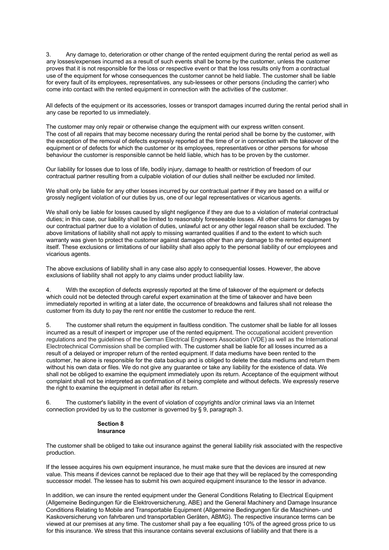Any damage to, deterioration or other change of the rented equipment during the rental period as well as any losses/expenses incurred as a result of such events shall be borne by the customer, unless the customer proves that it is not responsible for the loss or respective event or that the loss results only from a contractual use of the equipment for whose consequences the customer cannot be held liable. The customer shall be liable for every fault of its employees, representatives, any sub-lessees or other persons (including the carrier) who come into contact with the rented equipment in connection with the activities of the customer.

All defects of the equipment or its accessories, losses or transport damages incurred during the rental period shall in any case be reported to us immediately.

The customer may only repair or otherwise change the equipment with our express written consent. The cost of all repairs that may become necessary during the rental period shall be borne by the customer, with the exception of the removal of defects expressly reported at the time of or in connection with the takeover of the equipment or of defects for which the customer or its employees, representatives or other persons for whose behaviour the customer is responsible cannot be held liable, which has to be proven by the customer.

Our liability for losses due to loss of life, bodily injury, damage to health or restriction of freedom of our contractual partner resulting from a culpable violation of our duties shall neither be excluded nor limited.

We shall only be liable for any other losses incurred by our contractual partner if they are based on a wilful or grossly negligent violation of our duties by us, one of our legal representatives or vicarious agents.

We shall only be liable for losses caused by slight negligence if they are due to a violation of material contractual duties; in this case, our liability shall be limited to reasonably foreseeable losses. All other claims for damages by our contractual partner due to a violation of duties, unlawful act or any other legal reason shall be excluded. The above limitations of liability shall not apply to missing warranted qualities if and to the extent to which such warranty was given to protect the customer against damages other than any damage to the rented equipment itself. These exclusions or limitations of our liability shall also apply to the personal liability of our employees and vicarious agents.

The above exclusions of liability shall in any case also apply to consequential losses. However, the above exclusions of liability shall not apply to any claims under product liability law.

4. With the exception of defects expressly reported at the time of takeover of the equipment or defects which could not be detected through careful expert examination at the time of takeover and have been immediately reported in writing at a later date, the occurrence of breakdowns and failures shall not release the customer from its duty to pay the rent nor entitle the customer to reduce the rent.

5. The customer shall return the equipment in faultless condition. The customer shall be liable for all losses incurred as a result of inexpert or improper use of the rented equipment. The occupational accident prevention regulations and the guidelines of the German Electrical Engineers Association (VDE) as well as the International Electrotechnical Commission shall be complied with. The customer shall be liable for all losses incurred as a result of a delayed or improper return of the rented equipment. If data mediums have been rented to the customer, he alone is responsible for the data backup and is obliged to delete the data mediums and return them without his own data or files. We do not give any guarantee or take any liability for the existence of data. We shall not be obliged to examine the equipment immediately upon its return. Acceptance of the equipment without complaint shall not be interpreted as confirmation of it being complete and without defects. We expressly reserve the right to examine the equipment in detail after its return.

6. The customer's liability in the event of violation of copyrights and/or criminal laws via an Internet connection provided by us to the customer is governed by § 9, paragraph 3.

#### **Section 8 Insurance**

The customer shall be obliged to take out insurance against the general liability risk associated with the respective production.

If the lessee acquires his own equipment insurance, he must make sure that the devices are insured at new value. This means if devices cannot be replaced due to their age that they will be replaced by the corresponding successor model. The lessee has to submit his own acquired equipment insurance to the lessor in advance.

ln addition, we can insure the rented equipment under the General Conditions Relating to Electrical Equipment (Allgemeine Bedingungen für die Elektroversicherung, ABE) and the General Machinery and Damage lnsurance Conditions Relating to Mobile and Transportable Equipment (Allgemeine Bedingungen für die Maschinen- und Kaskoversicherung von fahrbaren und transportablen Geräten, ABMG). The respective insurance terms can be viewed at our premises at any time. The customer shall pay a fee equalling 10% of the agreed gross price to us for this insurance. We stress that this insurance contains several exclusions of liability and that there is a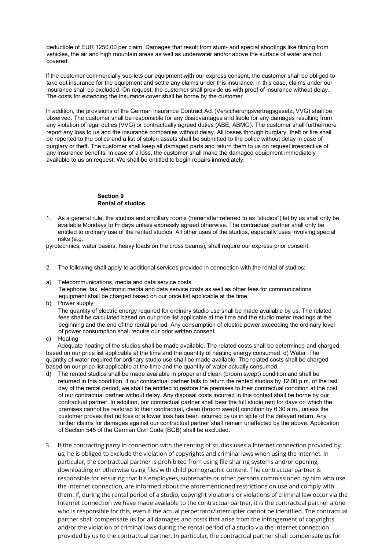deductible of EUR 1250.00 per claim. Damages that result from stunt- and special shootings like filming from vehicles, the air and high mountain areas as well as underwater and/or above the surface of water are not covered.

lf the customer commercially sub-lets our equipment with our express consent, the customer shall be obliged to take out insurance for the equipment and settle any claims under this insurance. ln this case, claims under our insurance shall be excluded. On request, the customer shall provide us with proof of insurance without delay. The costs for extending the insurance cover shall be borne by the customer.

ln addition, the provisions of the German lnsurance Contract Act (Versicherungsvertragsgesetz, VVG) shall be observed. The customer shall be responsible for any disadvantages and liable for any damages resulting from any violation of legal duties (VVG) or contractually agreed duties (ABE, ABMG). The customer shall furthermore report any loss to us and the insurance companies without delay. All losses through burglary, theft or fire shall be reported to the police and a list of stolen assets shall be submitted to the police without delay in case of burglary or theft. The customer shall keep all damaged parts and return them to us on request irrespective of any insurance benefits. ln case of a loss, the customer shall make the damaged equipment immediately available to us on request. We shall be entitled to begin repairs immediately.

#### **Section 9 Rental of studios**

1. As a general rule, the studios and ancillary rooms (hereinafter referred to as "studios") let by us shall only be available Mondays to Fridays unless expressly agreed otherwise. The contractual partner shall only be entitled to ordinary use of the rented studios. All other uses of the studios, especially uses involving special risks (e.g.

pyrotechnics, water basins, heavy loads on the cross beams), shall require our express prior consent.

- 2. The following shall apply to additional services provided in connection with the rental of studios:
- a) Telecommunications, media and data service costs Telephone, fax, electronic media and data service costs as well as other fees for communications equipment shall be charged based on our price list applicable at the time.
- b) Power supply

The quantity of electric energy required for ordinary studio use shall be made available by us. The related fees shall be calculated based on our price list applicable at the time and the studio meter readings at the beginning and the end of the rental period. Any consumption of electric power exceeding the ordinary level of power consumption shall require our prior written consent.

c) Heating

Adequate heating of the studios shall be made available. The related costs shall be determined and charged based on our price list applicable at the time and the quantity of heating energy consumed. d) Water The quantity of water required for ordinary studio use shall be made available. The related costs shall be charged based on our price list applicable at the time and the quantity of water actually consumed.

- d) The rented studios shall be made available in proper and clean (broom swept) condition and shall be returned in this condition. lf our contractual partner fails to return the rented studios by 12:00 p.m. of the last day of the rental period, we shall be entitled to restore the premises to their contractual condition at the cost of our contractual partner without delay. Any disposal costs incurred in this context shall be borne by our contractual partner. ln addition, our contractual partner shall bear the full studio rent for days on which the premises cannot be restored to their contractual, clean (broom swept) condition by 6:30 a.m., unless the customer proves that no loss or a lower loss has been incurred by us in spite of the delayed return. Any further claims for damages against our contractual partner shall remain unaffected by the above. Application of Section 545 of the German Civil Code (BGB) shall be excluded.
- 3. If the contracting party in connection with the renting of studios uses a Internet connection provided by us, he is obliged to exclude the violation of copyrights and criminal laws when using the Internet. In particular, the contractual partner is prohibited from using file sharing systems and/or opening, downloading or otherwise using files with child pornographic content. The contractual partner is responsible for ensuring that his employees, subtenants or other persons commissioned by him who use the Internet connection, are informed about the aforementioned restrictions on use and comply with them. If, during the rental period of a studio, copyright violations or violations of criminal law occur via the Internet connection we have made available to the contractual partner, it is the contractual partner alone who is responsible for this, even if the actual perpetrator/interrupter cannot be identified. The contractual partner shall compensate us for all damages and costs that arise from the infringement of copyrights and/or the violation of criminal laws during the rental period of a studio via the Internet connection provided by us to the contractual partner. In particular, the contractual partner shall compensate us for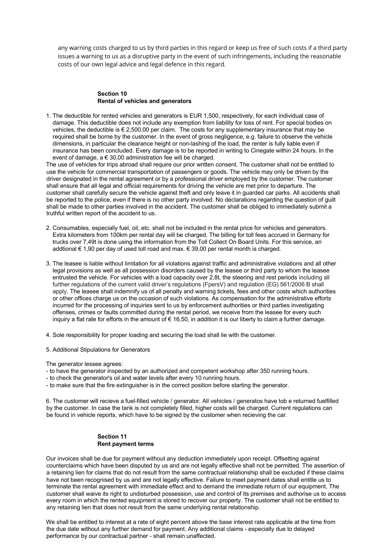any warning costs charged to us by third parties in this regard or keep us free of such costs if a third party issues a warning to us as a disruptive party in the event of such infringements, including the reasonable costs of our own legal advice and legal defence in this regard.

#### **Section 10 Rental of vehicles and generators**

1. The deductible for rented vehicles and generators is EUR 1,500, respectively, for each individual case of damage. This deductible does not include any exemption from liability for loss of rent. For special bodies on vehicles, the deductible is € 2,500.00 per claim. The costs for any supplementary insurance that may be required shall be borne by the customer. In the event of gross negligence, e.g. failure to observe the vehicle dimensions, in particular the clearance height or non-lashing of the load, the renter is fully liable even if insurance has been concluded. Every damage is to be reported in writing to Cinegate within 24 hours. In the event of damage, a € 30,00 administration fee will be charged.

The use of vehicles for trips abroad shall require our prior written consent. The customer shall not be entitled to use the vehicle for commercial transportation of passengers or goods. The vehicle may only be driven by the driver designated in the rental agreement or by a professional driver employed by the customer. The customer shall ensure that all legal and official requirements for driving the vehicle are met prior to departure. The customer shall carefully secure the vehicle against theft and only leave it in guarded car parks. All accidents shall be reported to the police, even if there is no other party involved. No declarations regarding the question of guilt shall be made to other parties involved in the accident. The customer shall be obliged to immediately submit a truthful written report of the accident to us.

- 2. Consumables, especially fuel, oil, etc. shall not be included in the rental price for vehicles and generators. Extra kilometers from 100km per rental day will be charged. The billing for toll fees accrued in Germany for trucks over 7,49t is done using the information from the Toll Collect On Board Units. For this service, an addtional  $\epsilon$  1,90 per day of used toll road and max.  $\epsilon$  39,00 per rental month is charged.
- 3. The leasee is liable without limitation for all violations against traffic and administrative violations and all other legal provisions as well as all possession disorders caused by the leasee or third party to whom the leasee entrusted the vehicle. For vehicles with a load capacity over 2,8t, the steering and rest periods including all further regulations of the current valid driver's regulations (FpersV) and regulation (EG) 561/2006 B shall apply. The leasee shall indemnify us of all penalty and warning tickets, fees and other costs which authorities or other offices charge us on the occasion of such violations. As compensation for the administrative efforts incurred for the processing of inquiries sent to us by enforcement authorities or third parties investigating offenses, crimes or faults committed during the rental period, we receive from the leasee for every such inquiry a flat rate for efforts in the amount of  $\epsilon$  16,50, in addition it is our liberty to claim a further damage.
- 4. Sole responsibility for proper loading and securing the load shall lie with the customer.
- 5. Additional Stipulations for Generators

The generator lessee agrees:

- to have the generator inspected by an authorized and competent workshop after 350 running hours.
- to check the generator's oil and water levels after every 10 running hours.
- to make sure that the fire extinguisher is in the correct position before starting the generator.

6. The customer will recieve a fuel-filled vehicle / generator. All vehicles / generatos have tob e returned fuelfilled by the customer. In case the tank is not completely filled, higher costs will be charged. Current regulations can be found in vehicle reports, which have to be signed by the customer when recieving the car.

#### **Section 11 Rent payment terms**

Our invoices shall be due for payment without any deduction immediately upon receipt. Offsetting against counterclaims which have been disputed by us and are not legally effective shall not be permitted. The assertion of a retaining lien for claims that do not result from the same contractual relationship shall be excluded if these claims have not been recognised by us and are not legally effective. Failure to meet payment dates shall entitle us to terminate the rental agreement with immediate effect and to demand the immediate return of our equipment. The customer shall waive its right to undisturbed possession, use and control of its premises and authorise us to access every room in which the rented equipment is stored to recover our property. The customer shall not be entitled to any retaining lien that does not result from the same underlying rental relationship.

We shall be entitled to interest at a rate of eight percent above the base interest rate applicable at the time from the due date without any further demand for payment. Any additional claims - especially due to delayed performance by our contractual partner - shall remain unaffected.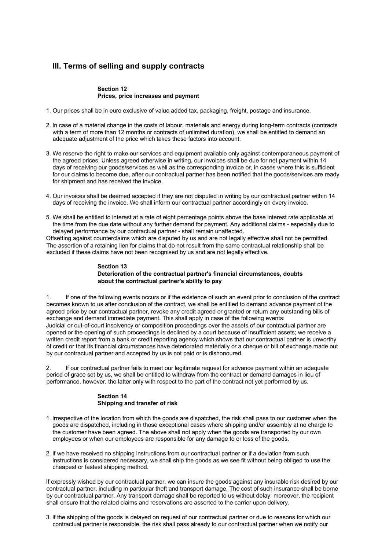# **III. Terms of selling and supply contracts**

#### **Section 12 Prices, price increases and payment**

- 1. Our prices shall be in euro exclusive of value added tax, packaging, freight, postage and insurance.
- 2. ln case of a material change in the costs of labour, materials and energy during long-term contracts (contracts with a term of more than 12 months or contracts of unlimited duration), we shall be entitled to demand an adequate adjustment of the price which takes these factors into account.
- 3. We reserve the right to make our services and equipment available only against contemporaneous payment of the agreed prices. Unless agreed otherwise in writing, our invoices shall be due for net payment within 14 days of receiving our goods/services as well as the corresponding invoice or, in cases where this is sufficient for our claims to become due, after our contractual partner has been notified that the goods/services are ready for shipment and has received the invoice.
- 4. Our invoices shall be deemed accepted if they are not disputed in writing by our contractual partner within 14 days of receiving the invoice. We shall inform our contractual partner accordingly on every invoice.
- 5. We shall be entitled to interest at a rate of eight percentage points above the base interest rate applicable at the time from the due date without any further demand for payment. Any additional claims - especially due to delayed performance by our contractual partner - shall remain unaffected.

Offsetting against counterclaims which are disputed by us and are not legally effective shall not be permitted. The assertion of a retaining lien for claims that do not result from the same contractual relationship shall be excluded if these claims have not been recognised by us and are not legally effective.

#### **Section 13 Deterioration of the contractual partner's financial circumstances, doubts about the contractual partner's ability to pay**

1. lf one of the following events occurs or if the existence of such an event prior to conclusion of the contract becomes known to us after conclusion of the contract, we shall be entitled to demand advance payment of the agreed price by our contractual partner, revoke any credit agreed or granted or return any outstanding bills of exchange and demand immediate payment. This shall apply in case of the following events: Judicial or out-of-court insolvency or composition proceedings over the assets of our contractual partner are opened or the opening of such proceedings is declined by a court because of insufficient assets; we receive a written credit report from a bank or credit reporting agency which shows that our contractual partner is unworthy of credit or that its financial circumstances have deteriorated materially or a cheque or bill of exchange made out by our contractual partner and accepted by us is not paid or is dishonoured.

2. lf our contractual partner fails to meet our legitimate request for advance payment within an adequate period of grace set by us, we shall be entitled to withdraw from the contract or demand damages in lieu of performance, however, the latter only with respect to the part of the contract not yet performed by us.

#### **Section 14 Shipping and transfer of risk**

- 1. lrrespective of the location from which the goods are dispatched, the risk shall pass to our customer when the goods are dispatched, including in those exceptional cases where shipping and/or assembly at no charge to the customer have been agreed. The above shall not apply when the goods are transported by our own employees or when our employees are responsible for any damage to or loss of the goods.
- 2. lf we have received no shipping instructions from our contractual partner or if a deviation from such instructions is considered necessary, we shall ship the goods as we see fit without being obliged to use the cheapest or fastest shipping method.

If expressly wished by our contractual partner, we can insure the goods against any insurable risk desired by our contractual partner, including in particular theft and transport damage. The cost of such insurance shall be borne by our contractual partner. Any transport damage shall be reported to us without delay; moreover, the recipient shall ensure that the related claims and reservations are asserted to the carrier upon delivery.

3. lf the shipping of the goods is delayed on request of our contractual partner or due to reasons for which our contractual partner is responsible, the risk shall pass already to our contractual partner when we notify our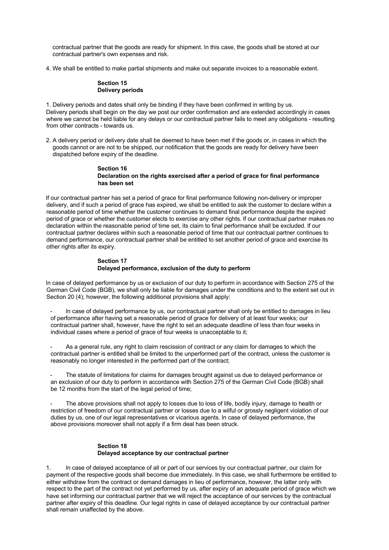contractual partner that the goods are ready for shipment. ln this case, the goods shall be stored at our contractual partner's own expenses and risk.

4. We shall be entitled to make partial shipments and make out separate invoices to a reasonable extent.

#### **Section 15 Delivery periods**

1. Delivery periods and dates shall only be binding if they have been confirmed in writing by us. Delivery periods shall begin on the day we post our order confirmation and are extended accordingly in cases where we cannot be held liable for any delays or our contractual partner fails to meet any obligations - resulting from other contracts - towards us.

2. A delivery period or delivery date shall be deemed to have been met if the goods or, in cases in which the goods cannot or are not to be shipped, our notification that the goods are ready for delivery have been dispatched before expiry of the deadline.

#### **Section 16 Declaration on the rights exercised after a period of grace for final performance has been set**

lf our contractual partner has set a period of grace for final performance following non-delivery or improper delivery, and if such a period of grace has expired, we shall be entitled to ask the customer to declare within a reasonable period of time whether the customer continues to demand final performance despite the expired period of grace or whether the customer elects to exercise any other rights. lf our contractual partner makes no declaration within the reasonable period of time set, its claim to final performance shall be excluded. lf our contractual partner declares within such a reasonable period of time that our contractual partner continues to demand performance, our contractual partner shall be entitled to set another period of grace and exercise its other rights after its expiry.

#### **Section 17 Delayed performance, exclusion of the duty to perform**

ln case of delayed performance by us or exclusion of our duty to perform in accordance with Section 275 of the German Civil Code (BGB), we shall only be liable for damages under the conditions and to the extent set out in Section 20 (4); however, the following additional provisions shall apply:

In case of delayed performance by us, our contractual partner shall only be entitled to damages in lieu of performance after having set a reasonable period of grace for delivery of at least four weeks; our contractual partner shall, however, have the right to set an adequate deadline of less than four weeks in individual cases where a period of grace of four weeks is unacceptable to it;

As a general rule, any right to claim rescission of contract or any claim for damages to which the contractual partner is entitled shall be limited to the unperformed part of the contract, unless the customer is reasonably no longer interested in the performed part of the contract;

The statute of limitations for claims for damages brought against us due to delayed performance or an exclusion of our duty to perform in accordance with Section 275 of the German Civil Code (BGB) shall be 12 months from the start of the legal period of time;

The above provisions shall not apply to losses due to loss of life, bodily injury, damage to health or restriction of freedom of our contractual partner or losses due to a wilful or grossly negligent violation of our duties by us, one of our legal representatives or vicarious agents. ln case of delayed performance, the above provisions moreover shall not apply if a firm deal has been struck.

#### **Section 18 Delayed acceptance by our contractual partner**

1. ln case of delayed acceptance of all or part of our services by our contractual partner, our claim for payment of the respective goods shall become due immediately. ln this case, we shall furthermore be entitled to either withdraw from the contract or demand damages in lieu of performance, however, the latter only with respect to the part of the contract not yet performed by us, after expiry of an adequate period of grace which we have set informing our contractual partner that we will reject the acceptance of our services by the contractual partner after expiry of this deadline. Our legal rights in case of delayed acceptance by our contractual partner shall remain unaffected by the above.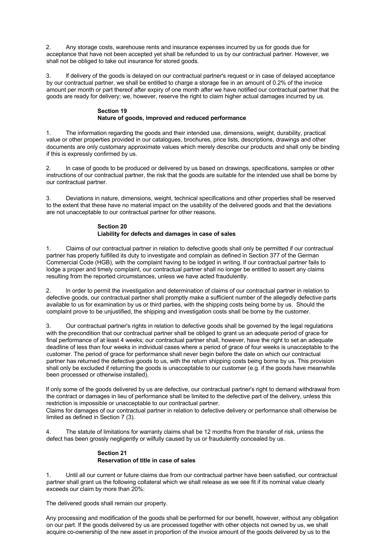2. Any storage costs, warehouse rents and insurance expenses incurred by us for goods due for acceptance that have not been accepted yet shall be refunded to us by our contractual partner. However, we shall not be obliged to take out insurance for stored goods.

3. lf delivery of the goods is delayed on our contractual partner's request or in case of delayed acceptance by our contractual partner, we shall be entitled to charge a storage fee in an amount of 0.2% of the invoice amount per month or part thereof after expiry of one month after we have notified our contractual partner that the goods are ready for delivery; we, however, reserve the right to claim higher actual damages incurred by us.

#### **Section 19 Nature of goods, improved and reduced performance**

1. The information regarding the goods and their intended use, dimensions, weight, durability, practical value or other properties provided in our catalogues, brochures, price lists, descriptions, drawings and other documents are only customary approximate values which merely describe our products and shall only be binding if this is expressly confirmed by us.

In case of goods to be produced or delivered by us based on drawings, specifications, samples or other instructions of our contractual partner, the risk that the goods are suitable for the intended use shall be borne by our contractual partner.

3. Deviations in nature, dimensions, weight, technical specifications and other properties shall be reserved to the extent that these have no material impact on the usability of the delivered goods and that the deviations are not unacceptable to our contractual partner for other reasons.

#### **Section 20**

#### **Liability for defects and damages in case of sales**

1. Claims of our contractual partner in relation to defective goods shall only be permitted if our contractual partner has properly fulfilled its duty to investigate and complain as defined in Section 377 of the German Commercial Code (HGB), with the complaint having to be lodged in writing. lf our contractual partner fails to lodge a proper and timely complaint, our contractual partner shall no longer be entitled to assert any claims resulting from the reported circumstances, unless we have acted fraudulently.

2. ln order to permit the investigation and determination of claims of our contractual partner in relation to defective goods, our contractual partner shall promptly make a sufficient number of the allegedly defective parts available to us for examination by us or third parties, with the shipping costs being borne by us. Should the complaint prove to be unjustified, the shipping and investigation costs shall be borne by the customer.

3. Our contractual partner's rights in relation to defective goods shall be governed by the legal regulations with the precondition that our contractual partner shall be obliged to grant us an adequate period of grace for final performance of at least 4 weeks; our contractual partner shall, however, have the right to set an adequate deadline of less than four weeks in individual cases where a period of grace of four weeks is unacceptable to the customer. The period of grace for performance shall never begin before the date on which our contractual partner has returned the defective goods to us, with the return shipping costs being borne by us. This provision shall only be excluded if returning the goods is unacceptable to our customer (e.g. if the goods have meanwhile been processed or otherwise installed).

lf only some of the goods delivered by us are defective, our contractual partner's right to demand withdrawal from the contract or damages in lieu of performance shall be limited to the defective part of the delivery, unless this restriction is impossible or unacceptable to our contractual partner.

Claims for damages of our contractual partner in relation to defective delivery or performance shall otherwise be limited as defined in Section 7 (3).

4. The statute of limitations for warranty claims shall be 12 months from the transfer of risk, unless the defect has been grossly negligently or wilfully caused by us or fraudulently concealed by us.

#### **Section 21 Reservation of title in case of sales**

1. Until all our current or future claims due from our contractual partner have been satisfied, our contractual partner shall grant us the following collateral which we shall release as we see fit if its nominal value clearly exceeds our claim by more than 20%:

The delivered goods shall remain our property.

Any processing and modification of the goods shall be performed for our benefit, however, without any obligation on our part. lf the goods delivered by us are processed together with other objects not owned by us, we shall acquire co-ownership of the new asset in proportion of the invoice amount of the goods delivered by us to the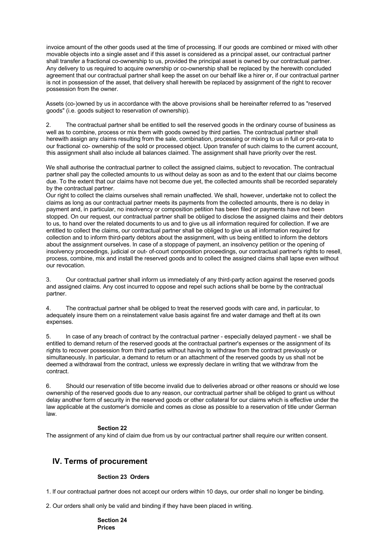invoice amount of the other goods used at the time of processing. lf our goods are combined or mixed with other movable objects into a single asset and if this asset is considered as a principal asset, our contractual partner shall transfer a fractional co-ownership to us, provided the principal asset is owned by our contractual partner. Any delivery to us required to acquire ownership or co-ownership shall be replaced by the herewith concluded agreement that our contractual partner shall keep the asset on our behalf like a hirer or, if our contractual partner is not in possession of the asset, that delivery shall herewith be replaced by assignment of the right to recover possession from the owner.

Assets (co-)owned by us in accordance with the above provisions shall be hereinafter referred to as "reserved goods" (i.e. goods subject to reservation of ownership).

2. The contractual partner shall be entitled to sell the reserved goods in the ordinary course of business as well as to combine, process or mix them with goods owned by third parties. The contractual partner shall herewith assign any claims resulting from the sale, combination, processing or mixing to us in full or pro-rata to our fractional co- ownership of the sold or processed object. Upon transfer of such claims to the current account, this assignment shall also include all balances claimed. The assignment shall have priority over the rest.

We shall authorise the contractual partner to collect the assigned claims, subject to revocation. The contractual partner shall pay the collected amounts to us without delay as soon as and to the extent that our claims become due. To the extent that our claims have not become due yet, the collected amounts shall be recorded separately by the contractual partner.

Our right to collect the claims ourselves shall remain unaffected. We shall, however, undertake not to collect the claims as long as our contractual partner meets its payments from the collected amounts, there is no delay in payment and, in particular, no insolvency or composition petition has been filed or payments have not been stopped. On our request, our contractual partner shall be obliged to disclose the assigned claims and their debtors to us, to hand over the related documents to us and to give us all information required for collection. lf we are entitled to collect the claims, our contractual partner shall be obliged to give us all information required for collection and to inform third-party debtors about the assignment, with us being entitled to inform the debtors about the assignment ourselves. ln case of a stoppage of payment, an insolvency petition or the opening of insolvency proceedings, judicial or out- of-court composition proceedings, our contractual partner's rights to resell, process, combine, mix and install the reserved goods and to collect the assigned claims shall lapse even without our revocation.

3. Our contractual partner shall inform us immediately of any third-party action against the reserved goods and assigned claims. Any cost incurred to oppose and repel such actions shall be borne by the contractual partner.

4. The contractual partner shall be obliged to treat the reserved goods with care and, in particular, to adequately insure them on a reinstatement value basis against fire and water damage and theft at its own expenses.

5. ln case of any breach of contract by the contractual partner - especially delayed payment - we shall be entitled to demand return of the reserved goods at the contractual partner's expenses or the assignment of its rights to recover possession from third parties without having to withdraw from the contract previously or simultaneously. ln particular, a demand to return or an attachment of the reserved goods by us shall not be deemed a withdrawal from the contract, unless we expressly declare in writing that we withdraw from the contract.

6. Should our reservation of title become invalid due to deliveries abroad or other reasons or should we lose ownership of the reserved goods due to any reason, our contractual partner shall be obliged to grant us without delay another form of security in the reserved goods or other collateral for our claims which is effective under the law applicable at the customer's domicile and comes as close as possible to a reservation of title under German law.

#### **Section 22**

The assignment of any kind of claim due from us by our contractual partner shall require our written consent.

### **IV. Terms of procurement**

#### **Section 23 Orders**

1. lf our contractual partner does not accept our orders within 10 days, our order shall no longer be binding.

2. Our orders shall only be valid and binding if they have been placed in writing.

#### **Section 24 Prices**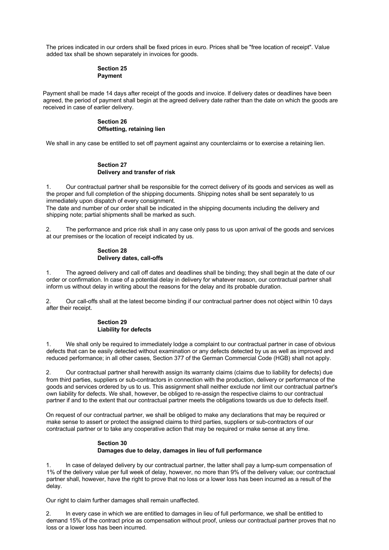The prices indicated in our orders shall be fixed prices in euro. Prices shall be "free location of receipt". Value added tax shall be shown separately in invoices for goods.

#### **Section 25 Payment**

Payment shall be made 14 days after receipt of the goods and invoice. lf delivery dates or deadlines have been agreed, the period of payment shall begin at the agreed delivery date rather than the date on which the goods are received in case of earlier delivery.

#### **Section 26 Offsetting, retaining lien**

We shall in any case be entitled to set off payment against any counterclaims or to exercise a retaining lien.

#### **Section 27 Delivery and transfer of risk**

1. Our contractual partner shall be responsible for the correct delivery of its goods and services as well as the proper and full completion of the shipping documents. Shipping notes shall be sent separately to us immediately upon dispatch of every consignment.

The date and number of our order shall be indicated in the shipping documents including the delivery and shipping note; partial shipments shall be marked as such.

2. The performance and price risk shall in any case only pass to us upon arrival of the goods and services at our premises or the location of receipt indicated by us.

#### **Section 28 Delivery dates, call-offs**

1. The agreed delivery and call off dates and deadlines shall be binding; they shall begin at the date of our order or confirmation. ln case of a potential delay in delivery for whatever reason, our contractual partner shall inform us without delay in writing about the reasons for the delay and its probable duration.

2. Our call-offs shall at the latest become binding if our contractual partner does not object within 10 days after their receipt.

#### **Section 29 Liability for defects**

1. We shall only be required to immediately lodge a complaint to our contractual partner in case of obvious defects that can be easily detected without examination or any defects detected by us as well as improved and reduced performance; in all other cases, Section 377 of the German Commercial Code (HGB) shall not apply.

2. Our contractual partner shall herewith assign its warranty claims (claims due to liability for defects) due from third parties, suppliers or sub-contractors in connection with the production, delivery or performance of the goods and services ordered by us to us. This assignment shall neither exclude nor limit our contractual partner's own liability for defects. We shall, however, be obliged to re-assign the respective claims to our contractual partner if and to the extent that our contractual partner meets the obligations towards us due to defects itself.

On request of our contractual partner, we shall be obliged to make any declarations that may be required or make sense to assert or protect the assigned claims to third parties, suppliers or sub-contractors of our contractual partner or to take any cooperative action that may be required or make sense at any time.

#### **Section 30 Damages due to delay, damages in lieu of full performance**

In case of delayed delivery by our contractual partner, the latter shall pay a lump-sum compensation of 1% of the delivery value per full week of delay, however, no more than 9% of the delivery value; our contractual partner shall, however, have the right to prove that no loss or a lower loss has been incurred as a result of the delay.

Our right to claim further damages shall remain unaffected.

2. ln every case in which we are entitled to damages in lieu of full performance, we shall be entitled to demand 15% of the contract price as compensation without proof, unless our contractual partner proves that no loss or a lower loss has been incurred.